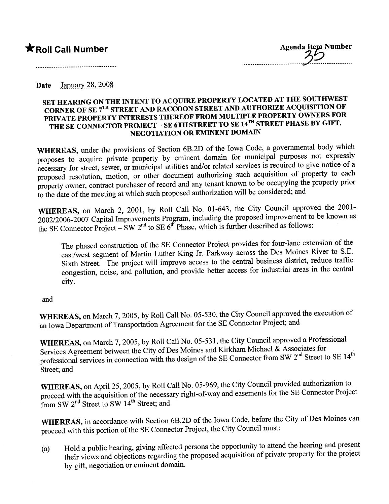**\*Roll Call Number** Agenda Item Number .................................2.....................

.....................................................................

Date January  $28,2008$ 

### SET HEARING ON THE INTENT TO ACQUIRE PROPERTY LOCATED AT THE SOUTHWEST CORNER OF SE 7<sup>TH</sup> STREET AND RACCOON STREET AND AUTHORIZE ACQUISITION OF PRIVATE PROPERTY INTERESTS THEREOF FROM MULTIPLE PROPERTY OWNERS FOR THE SE CONNECTOR PROJECT – SE 6TH STREET TO SE 14<sup>TH</sup> STREET PHASE BY GIFT, NEGOTIATION OR EMINENT DOMAIN

WHEREAS, under the provisions of Section 6B.2D of the Iowa Code, a governmental body which proposes to acquire private property by eminent domain for municipal purposes not expressly necessary for street, sewer, or municipal utilities and/or related services is required to give notice of a proposed resolution, motion, or other document authorizing such acquisition of property to each property owner, contract purchaser of record and any tenant known to be occupying the property prior to the date of the meeting at which such proposed authorization will be considered; and

WHEREAS, on March 2, 2001, by Roll Call No. 01-643, the City Council approved the 2001- 2002/2006-2007 Capital Improvements Program, including the proposed improvement to be known as the SE Connector Project – SW  $2<sup>nd</sup>$  to SE  $6<sup>th</sup>$  Phase, which is further described as follows:

The phased construction of the SE Connector Project provides for four-lane extension of the east/west segment of Marin Luther King Jr. Parkway across the Des Moines River to S.E. Sixth Street. The project will improve access to the central business district, reduce traffic congestion, noise, and pollution, and provide better access for industrial areas in the central city.

and

WHEREAS, on March 7, 2005, by Roll Call No. 05-530, the City Council approved the execution of an Iowa Deparment of Transportation Agreement for the SE Connector Project; and

WHEREAS, on March 7, 2005, by Roll Call No. 05-531, the City Council approved a Professional Services Agreement between the City of Des Moines and Kirkham Michael & Associates for professional services in connection with the design of the SE Connector from SW  $2^{nd}$  Street to SE  $14^{th}$ Street; and

WHEREAS, on April 25, 2005, by Roll Call No. 05-969, the City Council provided authorization to proceed with the acquisition of the necessary right-of-way and easements for the SE Connector Project from SW 2<sup>nd</sup> Street to SW 14<sup>th</sup> Street; and

WHEREAS, in accordance with Section 6B.2D of the Iowa Code, before the City of Des Moines can proceed with this portion of the SE Connector Project, the City Council must:

(a) Hold a public hearing, giving affected persons are  $\epsilon_{\text{F}}$  to an and present for the project their views and objections regarding the proposed acquisition of private property for the project by gift, negotiation or eminent domain.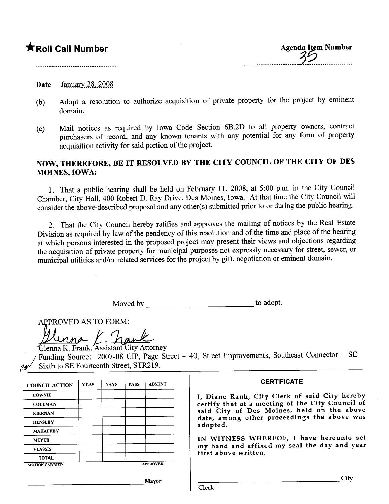# \*Roll Call Number

#### Date January 28,  $2008$

- (b) Adopt a resolution to authorize acquisition of private property for the project by eminent domain.
- $(c)$  Mail notices as required by Iowa Code Section 6B.2D to all property  $c = c$  or  $c = c$ purchasers of record, and any known tenants with any potential for any form of property acquisition activity for said portion of the project.

## NOW, THEREFORE, BE IT RESOLVED BY THE CITY COUNCIL OF THE CITY OF DES MOINES, IOWA:

1. That a public hearing shall be held on February 11, 2008, at 5:00 p.m. in the City Council Chamber, City Hall, 400 Robert D. Ray Drive, Des Moines, Iowa. At that time the City Council will consider the above-described proposal and any other(s) submitted prior to or during the public heanng.

2. That the City Council hereby ratifies and approves the mailing of notices by the Real Estate Division as required by law of the pendency of this resolution and of the time and place of the hearing at which persons interested in the proposed project may present their views and objections regarding the acquisition of private property for muncipal puroses not expressly necessary for street, sewer, or municipal utilities and/or related services for the project by gift, negotiation or eminent domain.

| Moved by | to adopt. |
|----------|-----------|
|----------|-----------|

APPROVED AS TO FORM:

Hinoved As To Form.<br>Henna K. Frank, Assistant City Attorney

Funding Source: 2007-08 CIP, Page Street - 40, Street Improvements, Southeast Connector - SE Sixth to SE Fourteenth Street, STR219.

| <b>COUNCIL ACTION</b> | <b>YEAS</b> | <b>NAYS</b>     | <b>PASS</b> | <b>ABSENT</b> |
|-----------------------|-------------|-----------------|-------------|---------------|
| <b>COWNIE</b>         |             |                 |             |               |
| <b>COLEMAN</b>        |             |                 |             |               |
| <b>KIERNAN</b>        |             |                 |             |               |
| <b>HENSLEY</b>        |             |                 |             |               |
| <b>MAHAFFEY</b>       |             |                 |             |               |
| <b>MEYER</b>          |             |                 |             |               |
| <b>VLASSIS</b>        |             |                 |             |               |
| <b>TOTAL</b>          |             |                 |             |               |
| <b>MOTION CARRIED</b> |             | <b>APPROVED</b> |             |               |

#### **CERTIFICATE**

I, Diane Rauh, City Clerk of said City hereby certify that at a meeting of the City Council of said City of Des Moines, held on the above date, among other proceedings the above was adopted.

IN WITNESS WHEREOF, I have hereunto set my hand and affixed my seal the day and year first above written.

Mayor

City